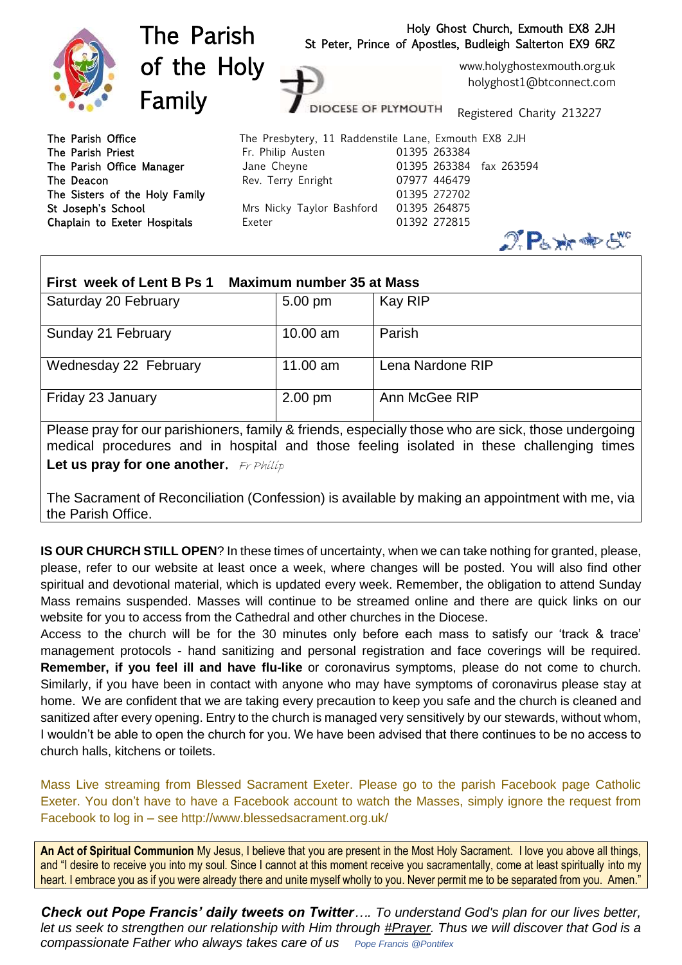

| First week of Lent B Ps 1<br><b>Maximum number 35 at Mass</b> |            |                  |
|---------------------------------------------------------------|------------|------------------|
| Saturday 20 February                                          | 5.00 pm    | <b>Kay RIP</b>   |
| Sunday 21 February                                            | $10.00$ am | Parish           |
| Wednesday 22 February                                         | $11.00$ am | Lena Nardone RIP |
| Friday 23 January                                             | $2.00$ pm  | Ann McGee RIP    |

Please pray for our parishioners, family & friends, especially those who are sick, those undergoing medical procedures and in hospital and those feeling isolated in these challenging times **Let us pray for one another.** Fr Philip

The Sacrament of Reconciliation (Confession) is available by making an appointment with me, via the Parish Office.

**IS OUR CHURCH STILL OPEN**? In these times of uncertainty, when we can take nothing for granted, please, please, refer to our website at least once a week, where changes will be posted. You will also find other spiritual and devotional material, which is updated every week. Remember, the obligation to attend Sunday Mass remains suspended. Masses will continue to be streamed online and there are quick links on our website for you to access from the Cathedral and other churches in the Diocese.

Access to the church will be for the 30 minutes only before each mass to satisfy our 'track & trace' management protocols - hand sanitizing and personal registration and face coverings will be required. **Remember, if you feel ill and have flu-like** or coronavirus symptoms, please do not come to church. Similarly, if you have been in contact with anyone who may have symptoms of coronavirus please stay at home. We are confident that we are taking every precaution to keep you safe and the church is cleaned and sanitized after every opening. Entry to the church is managed very sensitively by our stewards, without whom, I wouldn't be able to open the church for you. We have been advised that there continues to be no access to church halls, kitchens or toilets.

Mass Live streaming from Blessed Sacrament Exeter. Please go to the parish Facebook page Catholic Exeter. You don't have to have a Facebook account to watch the Masses, simply ignore the request from Facebook to log in – see http://www.blessedsacrament.org.uk/

**An Act of Spiritual Communion** My Jesus, I believe that you are present in the Most Holy Sacrament. I love you above all things, and "I desire to receive you into my soul. Since I cannot at this moment receive you sacramentally, come at least spiritually into my heart. I embrace you as if you were already there and unite myself wholly to you. Never permit me to be separated from you. Amen."

*Check out Pope Francis' daily tweets on Twitter…. To understand God's plan for our lives better, let us seek to strengthen our relationship with Him through [#Prayer.](https://twitter.com/hashtag/Prayer?src=hashtag_click) Thus we will discover that God is a compassionate Father who always takes care of us Pope Francis @Pontifex*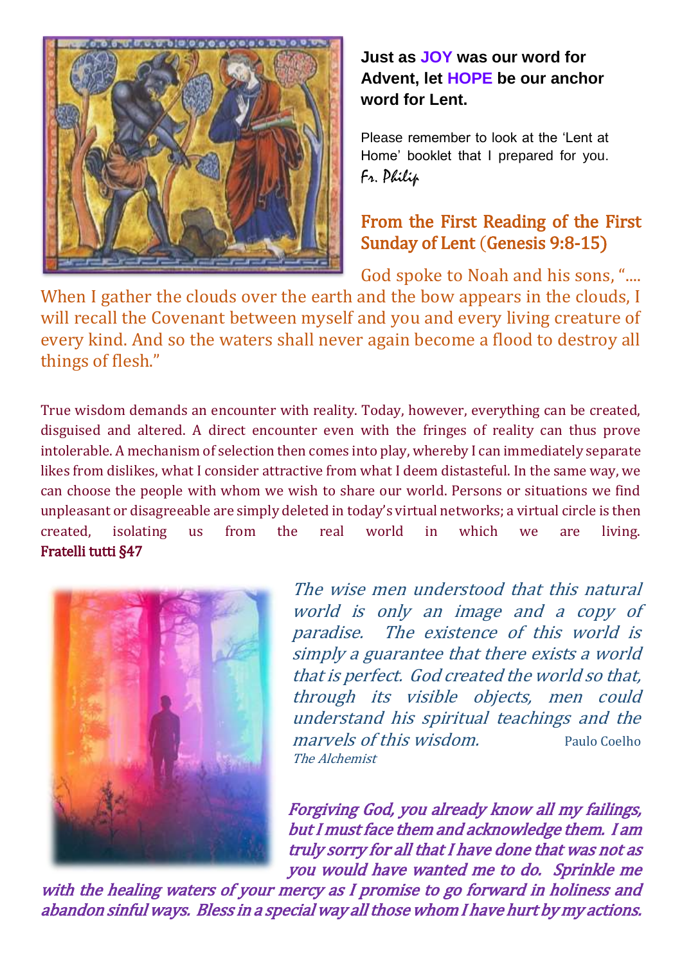

**Just as JOY was our word for Advent, let HOPE be our anchor word for Lent.**

Please remember to look at the 'Lent at Home' booklet that I prepared for you. Fr. Philip

## From the First Reading of the First Sunday of Lent (Genesis 9:8-15)

God spoke to Noah and his sons, "....

When I gather the clouds over the earth and the bow appears in the clouds, I will recall the Covenant between myself and you and every living creature of every kind. And so the waters shall never again become a flood to destroy all things of flesh."

True wisdom demands an encounter with reality. Today, however, everything can be created, disguised and altered. A direct encounter even with the fringes of reality can thus prove intolerable. A mechanism of selection then comes into play, whereby I can immediately separate likes from dislikes, what I consider attractive from what I deem distasteful. In the same way, we can choose the people with whom we wish to share our world. Persons or situations we find unpleasant or disagreeable are simply deleted in today's virtual networks; a virtual circle is then created, isolating us from the real world in which we are living. Fratelli tutti §47



The wise men understood that this natural world is only an image and a copy of paradise. The existence of this world is simply a guarantee that there exists a world that is perfect. God created the world so that, through its visible objects, men could understand his spiritual teachings and the marvels of this wisdom. Paulo Coelho The Alchemist

Forgiving God, you already know all my failings, but I must face them and acknowledge them. I am truly sorry for all that I have done that was not as you would have wanted me to do. Sprinkle me

with the healing waters of your mercy as I promise to go forward in holiness and abandon sinful ways. Bless in a special way all those whom I have hurt by my actions.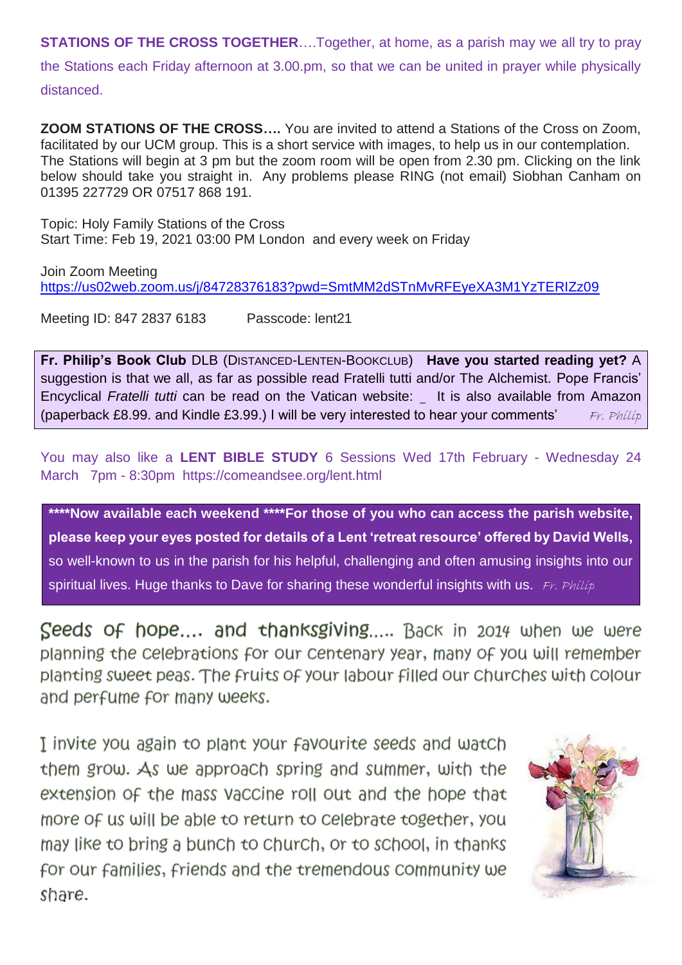**STATIONS OF THE CROSS TOGETHER....Together, at home, as a parish may we all try to pray** the Stations each Friday afternoon at 3.00.pm, so that we can be united in prayer while physically distanced.

**ZOOM STATIONS OF THE CROSS….** You are invited to attend a Stations of the Cross on Zoom, facilitated by our UCM group. This is a short service with images, to help us in our contemplation. The Stations will begin at 3 pm but the zoom room will be open from 2.30 pm. Clicking on the link below should take you straight in. Any problems please RING (not email) Siobhan Canham on 01395 227729 OR 07517 868 191.

Topic: Holy Family Stations of the Cross Start Time: Feb 19, 2021 03:00 PM London and every week on Friday

Join Zoom Meeting <https://us02web.zoom.us/j/84728376183?pwd=SmtMM2dSTnMvRFEyeXA3M1YzTERIZz09>

Meeting ID: 847 2837 6183 Passcode: lent21

**Fr. Philip's Book Club** DLB (DISTANCED-LENTEN-BOOKCLUB) **Have you started reading yet?** A suggestion is that we all, as far as possible read Fratelli tutti and/or The Alchemist. Pope Francis' Encyclical *Fratelli tutti* can be read on the Vatican website: It is also available from Amazon (paperback £8.99. and Kindle £3.99.) I will be very interested to hear your comments' Fr. Philip

You may also like a **LENT BIBLE STUDY** 6 Sessions Wed 17th February - Wednesday 24 March 7pm - 8:30pm <https://comeandsee.org/lent.html>

**\*\*\*\*Now available each weekend \*\*\*\*For those of you who can access the parish website, please keep your eyes posted for details of a Lent 'retreat resource' offered by David Wells,**  so well-known to us in the parish for his helpful, challenging and often amusing insights into our spiritual lives. Huge thanks to Dave for sharing these wonderful insights with us. Fr. Philip

Seeds of hope.... and thanksgiving..... Back in 2014 when we were planning the celebrations for our centenary year, many of you will remember planting sweet peas. The fruits of your labour filled our churches with colour and perfume for many weeks.

I invite you again to plant your favourite seeds and watch them grow. As we approach spring and summer, with the extension of the mass vaccine roll out and the hope that more of us will be able to return to celebrate together, you may like to bring a bunch to church, or to school, in thanks for our families, friends and the tremendous community we share.

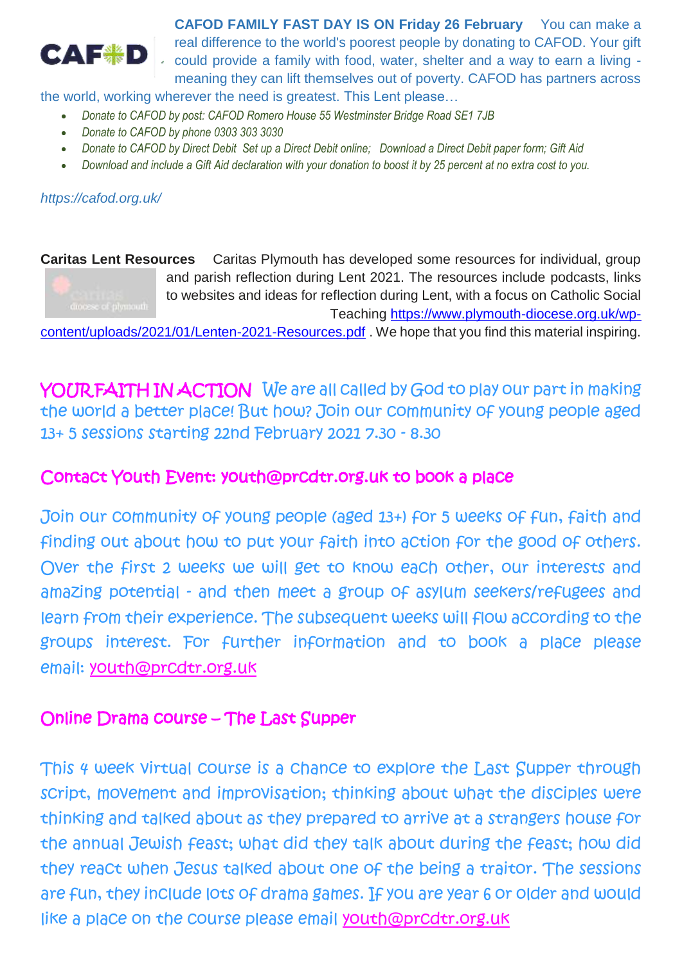

**CAFOD FAMILY FAST DAY IS ON Friday 26 February** You can make a real difference to the world's poorest people by donating to CAFOD. Your gift could provide a family with food, water, shelter and a way to earn a living meaning they can lift themselves out of poverty. CAFOD has partners across

the world, working wherever the need is greatest. This Lent please…

- *Donate to CAFOD by post: CAFOD Romero House 55 Westminster Bridge Road SE1 7JB*
- *Donate to CAFOD by phone 0303 303 3030*
- *Donate to CAFOD by Direct Debit [Set up a Direct Debit online;](https://cafod.org.uk/donations/direct-debit/?_Amount=15&_Appeal=3530) [Download a Direct Debit paper form;](https://cafod.org.uk/content/download/3802/26440/version/6/file/Regular%20Giving%20DD%20form%20April%202016.pdf) Gift Aid*
- *[Download and include a Gift Aid declaration](https://cafod.org.uk/content/download/32323/381186/version/3/file/Gift%20Aid%20form%202016.pdf) with your donation to boost it by 25 percent at no extra cost to you.*

*https://cafod.org.uk/* 

**Caritas Lent Resources** Caritas Plymouth has developed some resources for individual, group and parish reflection during Lent 2021. The resources include podcasts, links to websites and ideas for reflection during Lent, with a focus on Catholic Social Teaching [https://www.plymouth-diocese.org.uk/wp-](https://www.plymouth-diocese.org.uk/wp-content/uploads/2021/01/Lenten-2021-Resources.pdf)

[content/uploads/2021/01/Lenten-2021-Resources.pdf](https://www.plymouth-diocese.org.uk/wp-content/uploads/2021/01/Lenten-2021-Resources.pdf) . We hope that you find this material inspiring.

YOUR FAITH IN ACTION We are all called by God to play our part in making the world a better place! But how? Join our community of young people aged 13+ 5 sessions starting 22nd February 2021 7.30 - 8.30

### Contact Youth Event: youth@prcdtr.org.uk to book a place

Join our community of young people (aged 13+) for 5 weeks of fun, faith and finding out about how to put your faith into action for the good of others. Over the first 2 weeks we will get to know each other, our interests and amazing potential - and then meet a group of asylum seekers/refugees and learn from their experience. The subsequent weeks will flow according to the groups interest. For further information and to book a place please email: [youth@prcdtr.org.uk](mailto:youth@prcdtr.org.uk)

#### Online Drama course – The Last Supper

This 4 week virtual course is a chance to explore the Last Supper through script, movement and improvisation; thinking about what the disciples were thinking and talked about as they prepared to arrive at a strangers house for the annual Jewish feast; what did they talk about during the feast; how did they react when Jesus talked about one of the being a traitor. The sessions are fun, they include lots of drama games. If you are year 6 or older and would like a place on the course please email [youth@prcdtr.org.uk](mailto:youth@prcdtr.org.uk)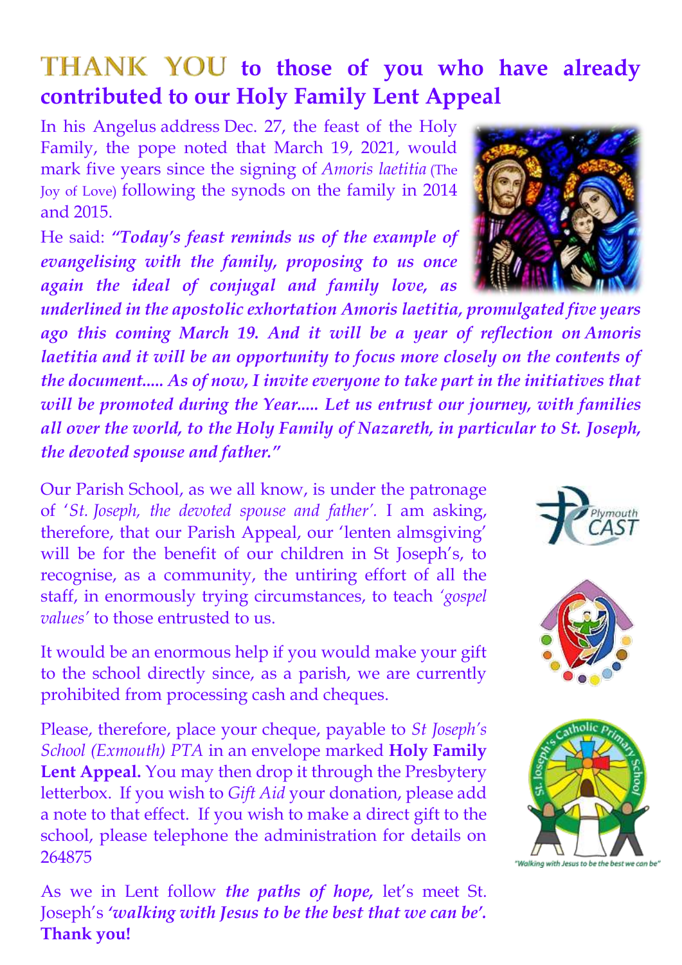# THANK YOU to those of you who have already **contributed to our Holy Family Lent Appeal**

In his Angelus [address](http://www.vatican.va/content/francesco/en/angelus/2020/documents/papa-francesco_angelus_20201227.html) Dec. 27, the feast of the Holy Family, the pope noted that March 19, 2021, would mark five years since the signing of *Amoris laetitia* (The Joy of Love) following the synods on the family in 2014 and 2015.

He said: *"Today's feast reminds us of the example of evangelising with the family, proposing to us once again the ideal of conjugal and family love, as* 

*underlined in the apostolic exhortation Amoris laetitia, promulgated five years ago this coming March 19. And it will be a year of reflection on Amoris laetitia and it will be an opportunity to focus more closely on the contents of the document..... As of now, I invite everyone to take part in the initiatives that will be promoted during the Year..... Let us entrust our journey, with families all over the world, to the Holy Family of Nazareth, in particular to St. Joseph, the devoted spouse and father."*

Our Parish School, as we all know, is under the patronage of '*St. Joseph, the devoted spouse and father'.* I am asking, therefore, that our Parish Appeal, our 'lenten almsgiving' will be for the benefit of our children in St Joseph's, to recognise, as a community, the untiring effort of all the staff, in enormously trying circumstances, to teach *'gospel values'* to those entrusted to us.

It would be an enormous help if you would make your gift to the school directly since, as a parish, we are currently prohibited from processing cash and cheques.

Please, therefore, place your cheque, payable to *St Joseph's School (Exmouth) PTA* in an envelope marked **Holy Family Lent Appeal.** You may then drop it through the Presbytery letterbox. If you wish to *Gift Aid* your donation, please add a note to that effect. If you wish to make a direct gift to the school, please telephone the administration for details on 264875

As we in Lent follow *the paths of hope,* let's meet St. Joseph's *'walking with Jesus to be the best that we can be'.* **Thank you!**

mouth





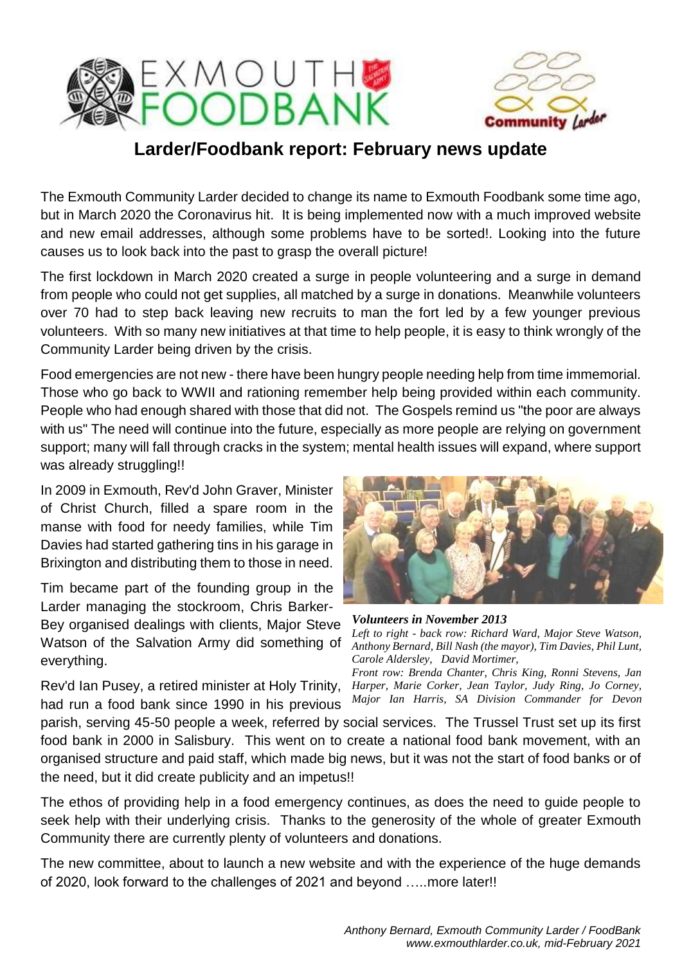



## **Larder/Foodbank report: February news update**

The Exmouth Community Larder decided to change its name to Exmouth Foodbank some time ago, but in March 2020 the Coronavirus hit. It is being implemented now with a much improved website and new email addresses, although some problems have to be sorted!. Looking into the future causes us to look back into the past to grasp the overall picture!

The first lockdown in March 2020 created a surge in people volunteering and a surge in demand from people who could not get supplies, all matched by a surge in donations. Meanwhile volunteers over 70 had to step back leaving new recruits to man the fort led by a few younger previous volunteers. With so many new initiatives at that time to help people, it is easy to think wrongly of the Community Larder being driven by the crisis.

Food emergencies are not new - there have been hungry people needing help from time immemorial. Those who go back to WWII and rationing remember help being provided within each community. People who had enough shared with those that did not. The Gospels remind us "the poor are always with us" The need will continue into the future, especially as more people are relying on government support; many will fall through cracks in the system; mental health issues will expand, where support was already struggling!!

In 2009 in Exmouth, Rev'd John Graver, Minister of Christ Church, filled a spare room in the manse with food for needy families, while Tim Davies had started gathering tins in his garage in Brixington and distributing them to those in need.

Tim became part of the founding group in the Larder managing the stockroom, Chris Barker-

Bey organised dealings with clients, Major Steve Watson of the Salvation Army did something of everything.

Rev'd Ian Pusey, a retired minister at Holy Trinity, had run a food bank since 1990 in his previous



*Volunteers in November 2013 Left to right - back row: Richard Ward, Major Steve Watson, Anthony Bernard, Bill Nash (the mayor), Tim Davies, Phil Lunt, Carole Aldersley, David Mortimer,* 

*Front row: Brenda Chanter, Chris King, Ronni Stevens, Jan Harper, Marie Corker, Jean Taylor, Judy Ring, Jo Corney, Major Ian Harris, SA Division Commander for Devon* 

parish, serving 45-50 people a week, referred by social services. The Trussel Trust set up its first food bank in 2000 in Salisbury. This went on to create a national food bank movement, with an organised structure and paid staff, which made big news, but it was not the start of food banks or of the need, but it did create publicity and an impetus!! *&Cornwall.*

The ethos of providing help in a food emergency continues, as does the need to guide people to seek help with their underlying crisis. Thanks to the generosity of the whole of greater Exmouth Community there are currently plenty of volunteers and donations.

The new committee, about to launch a new website and with the experience of the huge demands of 2020, look forward to the challenges of 2021 and beyond …..more later!!